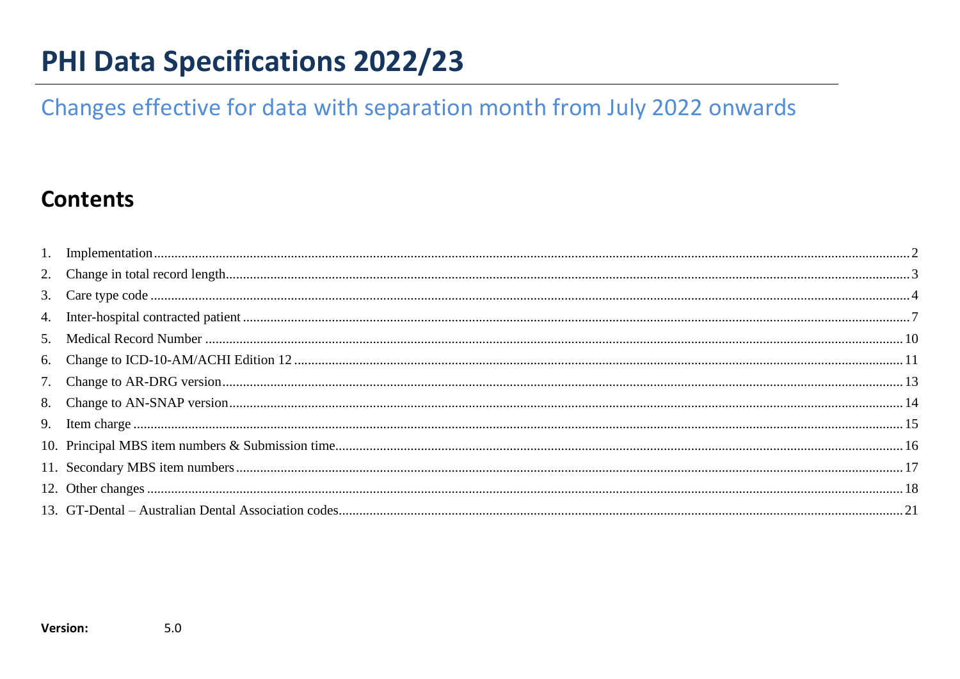# **PHI Data Specifications 2022/23**

## Changes effective for data with separation month from July 2022 onwards

### **Contents**

| 9. Item charge $\ldots$ $15$ |  |
|------------------------------|--|
|                              |  |
|                              |  |
|                              |  |
|                              |  |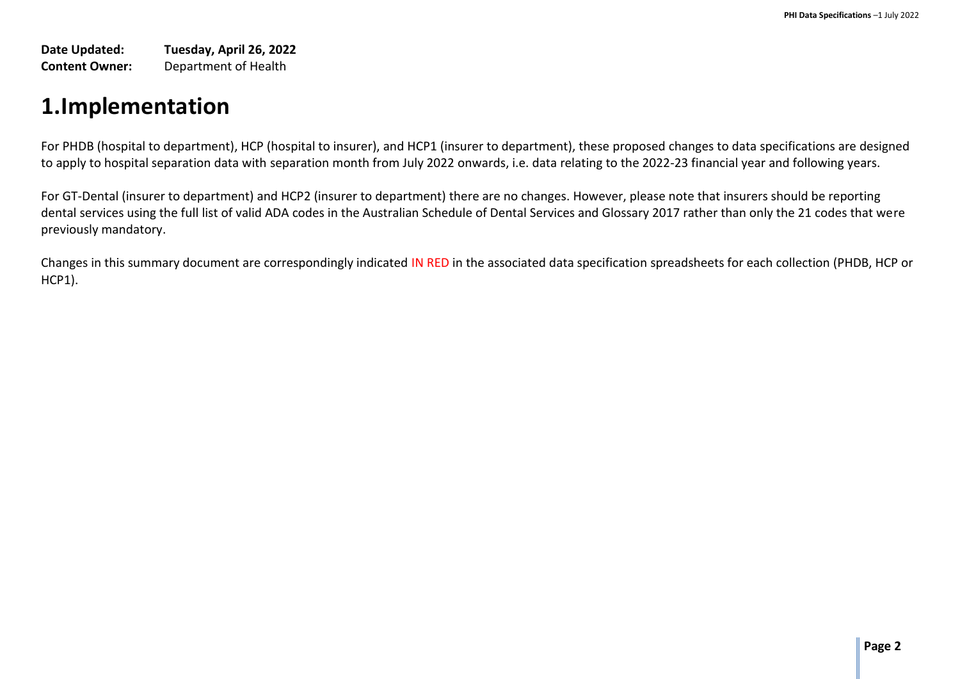**Date Updated: Tuesday, April 26, 2022 Content Owner:** Department of Health

### <span id="page-1-0"></span>**1.Implementation**

For PHDB (hospital to department), HCP (hospital to insurer), and HCP1 (insurer to department), these proposed changes to data specifications are designed to apply to hospital separation data with separation month from July 2022 onwards, i.e. data relating to the 2022-23 financial year and following years.

For GT-Dental (insurer to department) and HCP2 (insurer to department) there are no changes. However, please note that insurers should be reporting dental services using the full list of valid ADA codes in the Australian Schedule of Dental Services and Glossary 2017 rather than only the 21 codes that were previously mandatory.

Changes in this summary document are correspondingly indicated IN RED in the associated data specification spreadsheets for each collection (PHDB, HCP or HCP1).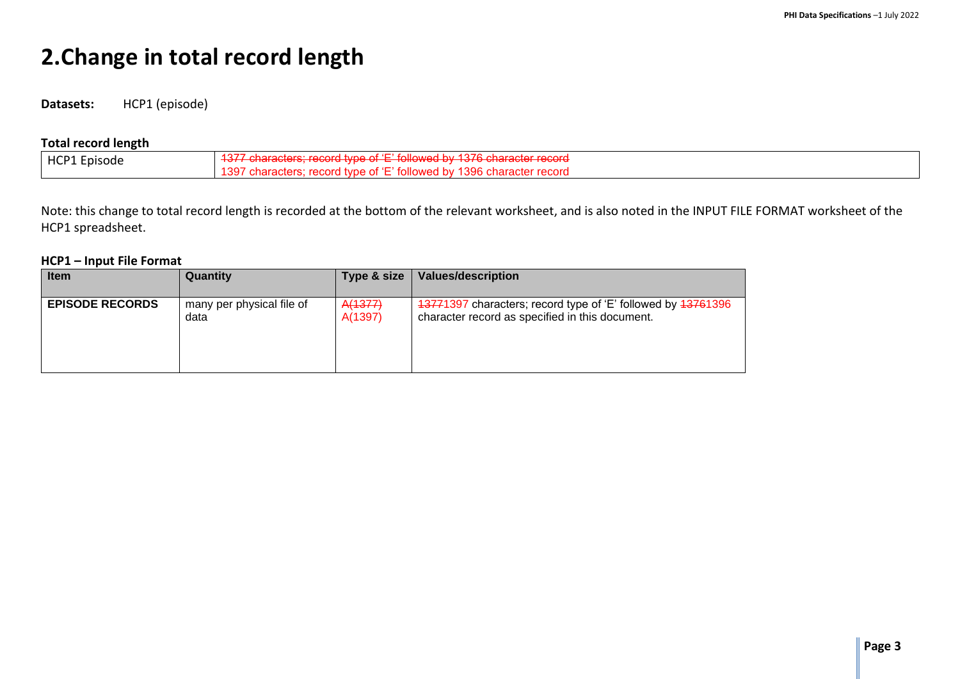### <span id="page-2-0"></span>**2.Change in total record length**

**Datasets:** HCP1 (episode)

#### **Total record length**

| HCP1 Epi: | 1377 characters: record type of 'E' followed by 1376 character record        |
|-----------|------------------------------------------------------------------------------|
| Episode   | <del>1077 bilalaucio, icubu type ur E-lulluwed by Toru bilalauci Teubu</del> |
|           | 7 characters: record type of 'E' followed by 1396 character record           |

Note: this change to total record length is recorded at the bottom of the relevant worksheet, and is also noted in the INPUT FILE FORMAT worksheet of the HCP1 spreadsheet.

#### **HCP1 – Input File Format**

| <b>Item</b>            | Quantity                  | Type & size | <b>Values/description</b>                                    |
|------------------------|---------------------------|-------------|--------------------------------------------------------------|
| <b>EPISODE RECORDS</b> | many per physical file of | A(1377)     | 43771397 characters; record type of 'E' followed by 43761396 |
|                        | data                      | A(1397)     | character record as specified in this document.              |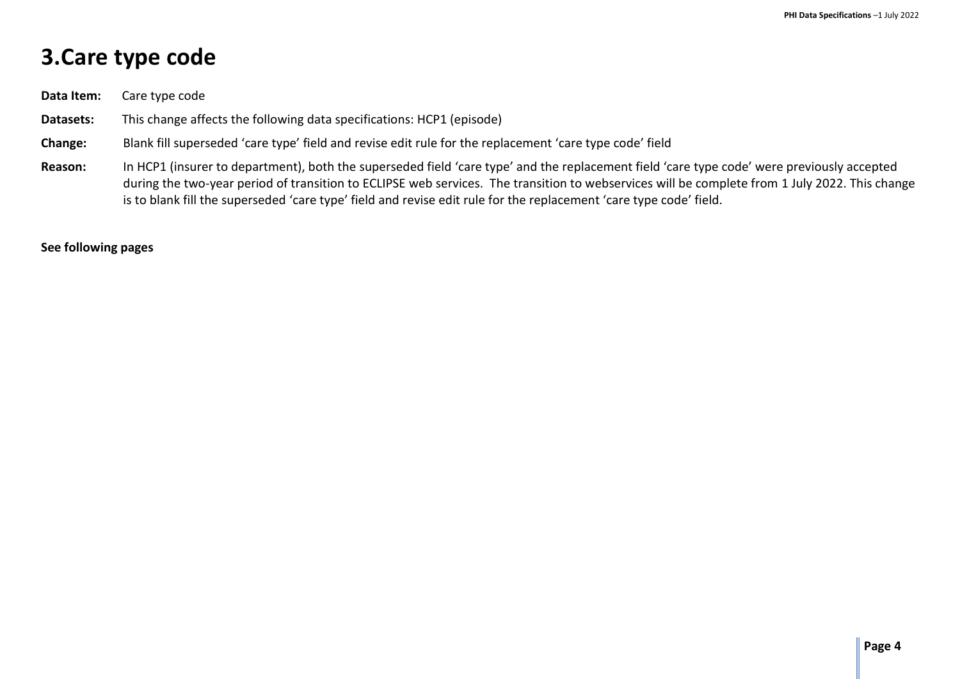### <span id="page-3-0"></span>**3.Care type code**

**Data Item:** Care type code

**Datasets:** This change affects the following data specifications: HCP1 (episode)

**Change:** Blank fill superseded 'care type' field and revise edit rule for the replacement 'care type code' field

Reason: In HCP1 (insurer to department), both the superseded field 'care type' and the replacement field 'care type code' were previously accepted during the two-year period of transition to ECLIPSE web services. The transition to webservices will be complete from 1 July 2022. This change is to blank fill the superseded 'care type' field and revise edit rule for the replacement 'care type code' field.

**See following pages**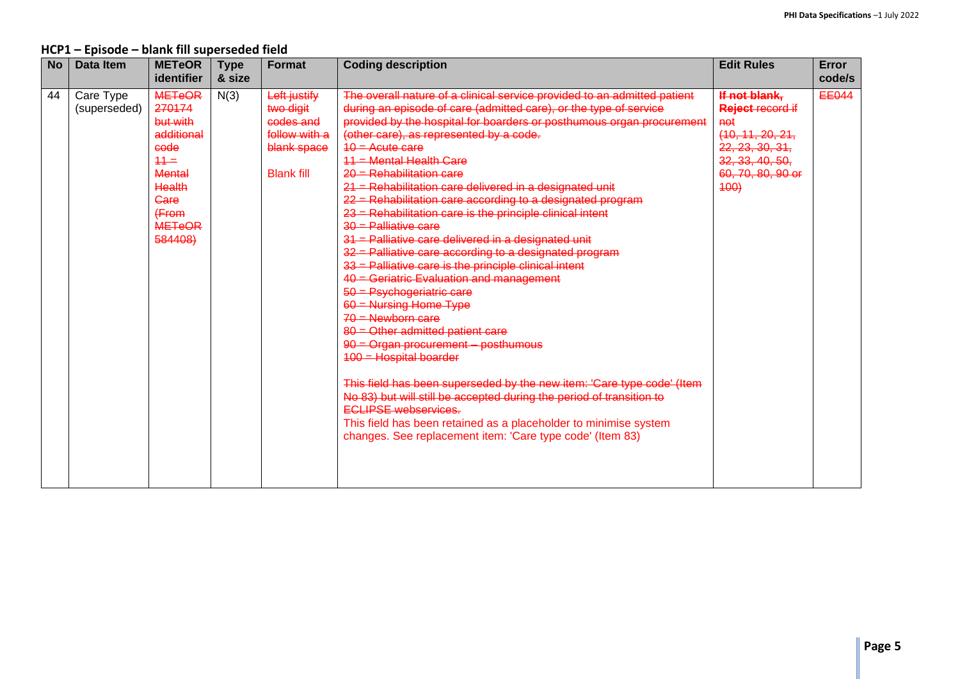| <b>No</b> | <b>Data Item</b>          | <b>METeOR</b>                                                                                                                               | <b>Type</b> | <b>Format</b>                                                                               | <b>Coding description</b>                                                                                                                                                                                                                                                                                                                                                                                                                                                                                                                                                                                                                                                                                                                                                                                                                                                                                                                                                                                                                                                                                                                                                                                                                                                                             | <b>Edit Rules</b>                                                                                                                         | Error        |
|-----------|---------------------------|---------------------------------------------------------------------------------------------------------------------------------------------|-------------|---------------------------------------------------------------------------------------------|-------------------------------------------------------------------------------------------------------------------------------------------------------------------------------------------------------------------------------------------------------------------------------------------------------------------------------------------------------------------------------------------------------------------------------------------------------------------------------------------------------------------------------------------------------------------------------------------------------------------------------------------------------------------------------------------------------------------------------------------------------------------------------------------------------------------------------------------------------------------------------------------------------------------------------------------------------------------------------------------------------------------------------------------------------------------------------------------------------------------------------------------------------------------------------------------------------------------------------------------------------------------------------------------------------|-------------------------------------------------------------------------------------------------------------------------------------------|--------------|
|           |                           | identifier                                                                                                                                  | & size      |                                                                                             |                                                                                                                                                                                                                                                                                                                                                                                                                                                                                                                                                                                                                                                                                                                                                                                                                                                                                                                                                                                                                                                                                                                                                                                                                                                                                                       |                                                                                                                                           | code/s       |
| 44        | Care Type<br>(superseded) | <b>METeOR</b><br>270174<br>but with<br>additional<br>code<br>$11 -$<br><b>Mental</b><br>Health<br>Gare<br>(From<br><b>METeOR</b><br>584408) | N(3)        | Left justify<br>two digit<br>codes and<br>follow with a<br>blank space<br><b>Blank fill</b> | The overall nature of a clinical service provided to an admitted patient<br>during an episode of care (admitted care), or the type of service<br>provided by the hospital for boarders or posthumous organ procurement<br>(other care), as represented by a code.<br>$10 = \text{Acute care}$<br>$11 -$ Mental Health Care<br>$20$ = Rehabilitation care<br>21 = Rehabilitation care delivered in a designated unit<br>22 = Rehabilitation care according to a designated program<br>23 = Rehabilitation care is the principle clinical intent<br>$30$ = Palliative care<br>31 = Palliative care delivered in a designated unit<br>32 = Palliative care according to a designated program<br>33 = Palliative care is the principle clinical intent<br>40 = Geriatric Evaluation and management<br>50 = Psychogeriatric care<br>60 = Nursing Home Type<br>$70$ = Newborn care<br>80 = Other admitted patient care<br>90 = Organ procurement - posthumous<br>$100$ = Hospital boarder<br>This field has been superseded by the new item: 'Care type code' (Item<br>No 83) but will still be accepted during the period of transition to<br><b>ECLIPSE webservices.</b><br>This field has been retained as a placeholder to minimise system<br>changes. See replacement item: 'Care type code' (Item 83) | If not blank,<br>Reject record if<br><del>not</del><br>(10, 11, 20, 21,<br>22, 23, 30, 31,<br>32, 33, 40, 50,<br>60, 70, 80, 90 or<br>400 | <b>EE044</b> |
|           |                           |                                                                                                                                             |             |                                                                                             |                                                                                                                                                                                                                                                                                                                                                                                                                                                                                                                                                                                                                                                                                                                                                                                                                                                                                                                                                                                                                                                                                                                                                                                                                                                                                                       |                                                                                                                                           |              |

### **HCP1 – Episode – blank fill superseded field**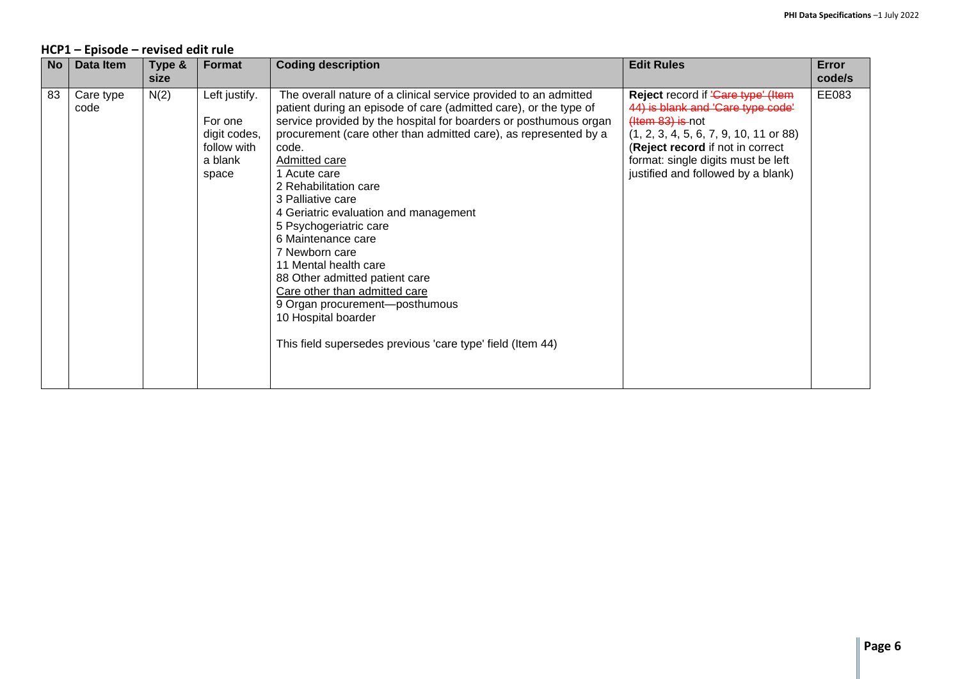#### **HCP1 – Episode – revised edit rule**

| <b>No</b> | Data Item         | Type &<br>size | Format                                                                      | <b>Coding description</b>                                                                                                                                                                                                                                                                                                                                                                                                                                                                                                                                                                                                                                                                            | <b>Edit Rules</b>                                                                                                                                                                                                                                                | Error<br>code/s |
|-----------|-------------------|----------------|-----------------------------------------------------------------------------|------------------------------------------------------------------------------------------------------------------------------------------------------------------------------------------------------------------------------------------------------------------------------------------------------------------------------------------------------------------------------------------------------------------------------------------------------------------------------------------------------------------------------------------------------------------------------------------------------------------------------------------------------------------------------------------------------|------------------------------------------------------------------------------------------------------------------------------------------------------------------------------------------------------------------------------------------------------------------|-----------------|
| 83        | Care type<br>code | N(2)           | Left justify.<br>For one<br>digit codes,<br>follow with<br>a blank<br>space | The overall nature of a clinical service provided to an admitted<br>patient during an episode of care (admitted care), or the type of<br>service provided by the hospital for boarders or posthumous organ<br>procurement (care other than admitted care), as represented by a<br>code.<br>Admitted care<br>1 Acute care<br>2 Rehabilitation care<br>3 Palliative care<br>4 Geriatric evaluation and management<br>5 Psychogeriatric care<br>6 Maintenance care<br>7 Newborn care<br>11 Mental health care<br>88 Other admitted patient care<br>Care other than admitted care<br>9 Organ procurement-posthumous<br>10 Hospital boarder<br>This field supersedes previous 'care type' field (Item 44) | Reject record if 'Care type' (Item<br>44) is blank and 'Care type code'<br>(Item 83) is not<br>$(1, 2, 3, 4, 5, 6, 7, 9, 10, 11 \text{ or } 88)$<br>(Reject record if not in correct<br>format: single digits must be left<br>justified and followed by a blank) | EE083           |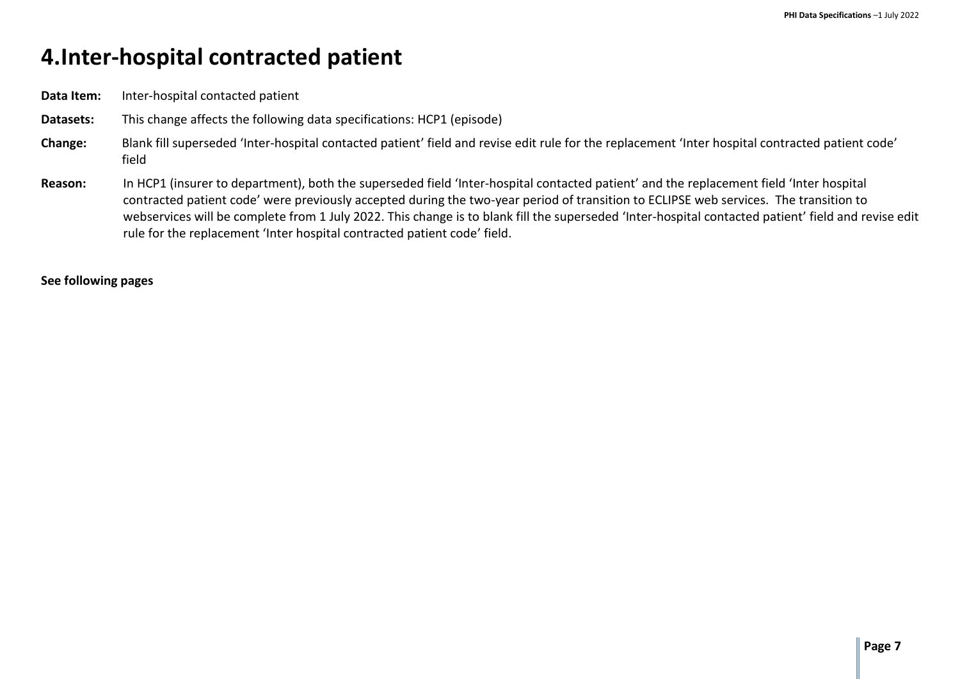### <span id="page-6-0"></span>**4.Inter-hospital contracted patient**

**Data Item:** Inter-hospital contacted patient

**Datasets:** This change affects the following data specifications: HCP1 (episode)

**Change:** Blank fill superseded 'Inter-hospital contacted patient' field and revise edit rule for the replacement 'Inter hospital contracted patient code' field

Reason: In HCP1 (insurer to department), both the superseded field 'Inter-hospital contacted patient' and the replacement field 'Inter hospital contracted patient code' were previously accepted during the two-year period of transition to ECLIPSE web services. The transition to webservices will be complete from 1 July 2022. This change is to blank fill the superseded 'Inter-hospital contacted patient' field and revise edit rule for the replacement 'Inter hospital contracted patient code' field.

**See following pages**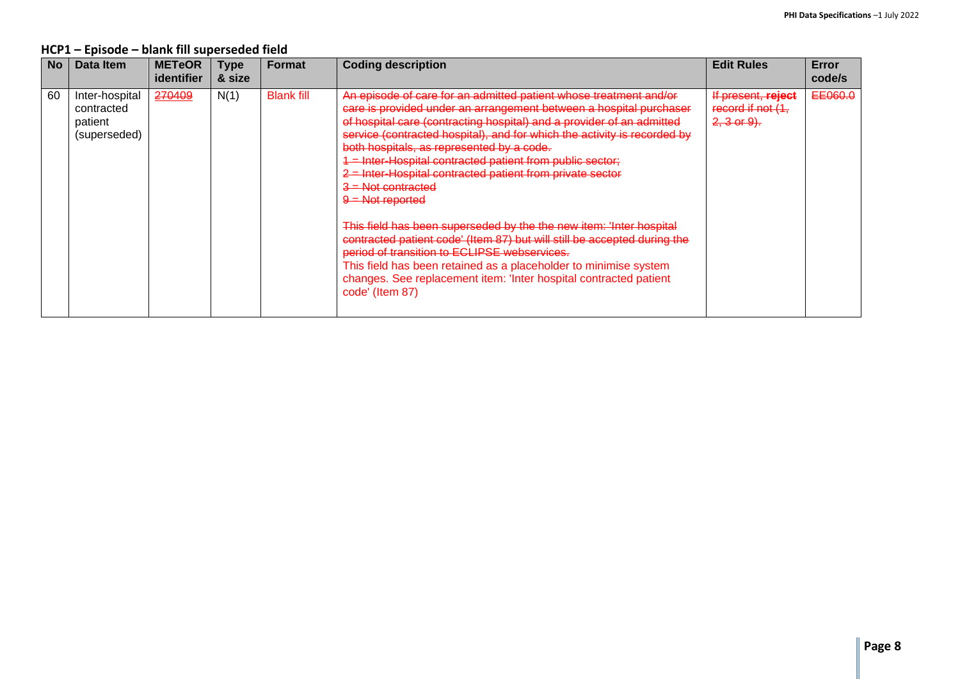| No | Data Item                                               | <b>METeOR</b><br>identifier | <b>Type</b><br>& size | <b>Format</b>     | <b>Coding description</b>                                                                                                                                                                                                                                                                                                                                                                                                                                                                                                                                                                                                                                                                                                                                                                                                                                                      | <b>Edit Rules</b>                                           | Error<br>code/s |
|----|---------------------------------------------------------|-----------------------------|-----------------------|-------------------|--------------------------------------------------------------------------------------------------------------------------------------------------------------------------------------------------------------------------------------------------------------------------------------------------------------------------------------------------------------------------------------------------------------------------------------------------------------------------------------------------------------------------------------------------------------------------------------------------------------------------------------------------------------------------------------------------------------------------------------------------------------------------------------------------------------------------------------------------------------------------------|-------------------------------------------------------------|-----------------|
| 60 | Inter-hospital<br>contracted<br>patient<br>(superseded) | 270409                      | N(1)                  | <b>Blank fill</b> | An episode of care for an admitted patient whose treatment and/or<br>care is provided under an arrangement between a hospital purchaser<br>of hospital care (contracting hospital) and a provider of an admitted<br>service (contracted hospital), and for which the activity is recorded by<br>both hospitals, as represented by a code.<br>1 = Inter-Hospital contracted patient from public sector;<br>2 = Inter-Hospital contracted patient from private sector<br>3 = Not contracted<br>$9$ = Not reported<br>This field has been superseded by the the new item: 'Inter hospital<br>contracted patient code' (Item 87) but will still be accepted during the<br>period of transition to ECLIPSE webservices.<br>This field has been retained as a placeholder to minimise system<br>changes. See replacement item: 'Inter hospital contracted patient<br>code' (Item 87) | If present, reject<br>record if not (1,<br>$2, 3$ or $9$ ). | EE060.0         |

#### **HCP1 – Episode – blank fill superseded field**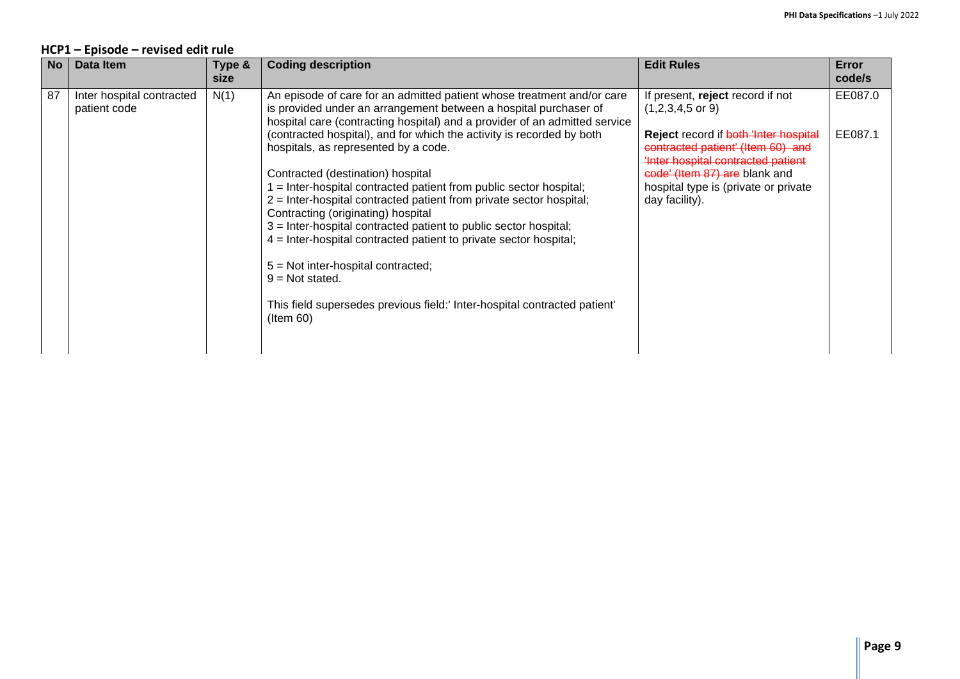#### **HCP1 – Episode – revised edit rule**

| <b>No</b> | Data Item                                 | Type &<br>size | <b>Coding description</b>                                                                                                                                                                                                | <b>Edit Rules</b>                                                                                                       | Error<br>code/s |
|-----------|-------------------------------------------|----------------|--------------------------------------------------------------------------------------------------------------------------------------------------------------------------------------------------------------------------|-------------------------------------------------------------------------------------------------------------------------|-----------------|
| 87        | Inter hospital contracted<br>patient code | N(1)           | An episode of care for an admitted patient whose treatment and/or care<br>is provided under an arrangement between a hospital purchaser of<br>hospital care (contracting hospital) and a provider of an admitted service | If present, reject record if not<br>$(1,2,3,4,5 \text{ or } 9)$                                                         | EE087.0         |
|           |                                           |                | (contracted hospital), and for which the activity is recorded by both<br>hospitals, as represented by a code.                                                                                                            | Reject record if both 'Inter hospital<br>contracted patient' (Item 60) and<br><b>'Inter hospital contracted patient</b> | EE087.1         |
|           |                                           |                | Contracted (destination) hospital<br>= Inter-hospital contracted patient from public sector hospital;<br>2 = Inter-hospital contracted patient from private sector hospital;                                             | eode' (Item 87) are blank and<br>hospital type is (private or private<br>day facility).                                 |                 |
|           |                                           |                | Contracting (originating) hospital<br>3 = Inter-hospital contracted patient to public sector hospital;<br>$4$ = Inter-hospital contracted patient to private sector hospital;                                            |                                                                                                                         |                 |
|           |                                           |                | $5 =$ Not inter-hospital contracted;<br>$9 = Not stated$ .                                                                                                                                                               |                                                                                                                         |                 |
|           |                                           |                | This field supersedes previous field: Inter-hospital contracted patient'<br>(Item 60)                                                                                                                                    |                                                                                                                         |                 |
|           |                                           |                |                                                                                                                                                                                                                          |                                                                                                                         |                 |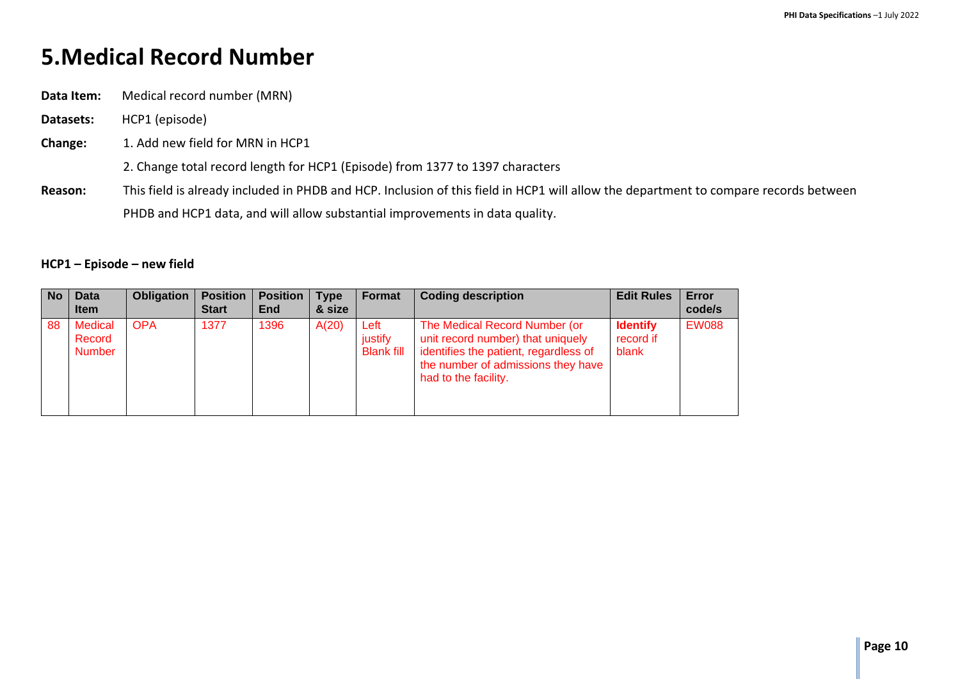### <span id="page-9-0"></span>**5.Medical Record Number**

**Data Item:** Medical record number (MRN)

**Datasets:** HCP1 (episode)

**Change:** 1. Add new field for MRN in HCP1

2. Change total record length for HCP1 (Episode) from 1377 to 1397 characters

**Reason:** This field is already included in PHDB and HCP. Inclusion of this field in HCP1 will allow the department to compare records between PHDB and HCP1 data, and will allow substantial improvements in data quality.

#### **HCP1 – Episode – new field**

| <b>No</b> | <b>Data</b><br><b>Item</b>                | <b>Obligation</b> | <b>Position</b><br><b>Start</b> | <b>Position</b><br><b>End</b> | <b>Type</b><br>& size | Format                               | <b>Coding description</b>                                                                                                                                                 | <b>Edit Rules</b>                     | Error<br>code/s |
|-----------|-------------------------------------------|-------------------|---------------------------------|-------------------------------|-----------------------|--------------------------------------|---------------------------------------------------------------------------------------------------------------------------------------------------------------------------|---------------------------------------|-----------------|
| 88        | <b>Medical</b><br>Record<br><b>Number</b> | <b>OPA</b>        | 1377                            | 1396                          | A(20)                 | Left<br>justify<br><b>Blank fill</b> | The Medical Record Number (or<br>unit record number) that uniquely<br>identifies the patient, regardless of<br>the number of admissions they have<br>had to the facility. | <b>Identify</b><br>record if<br>blank | <b>EW088</b>    |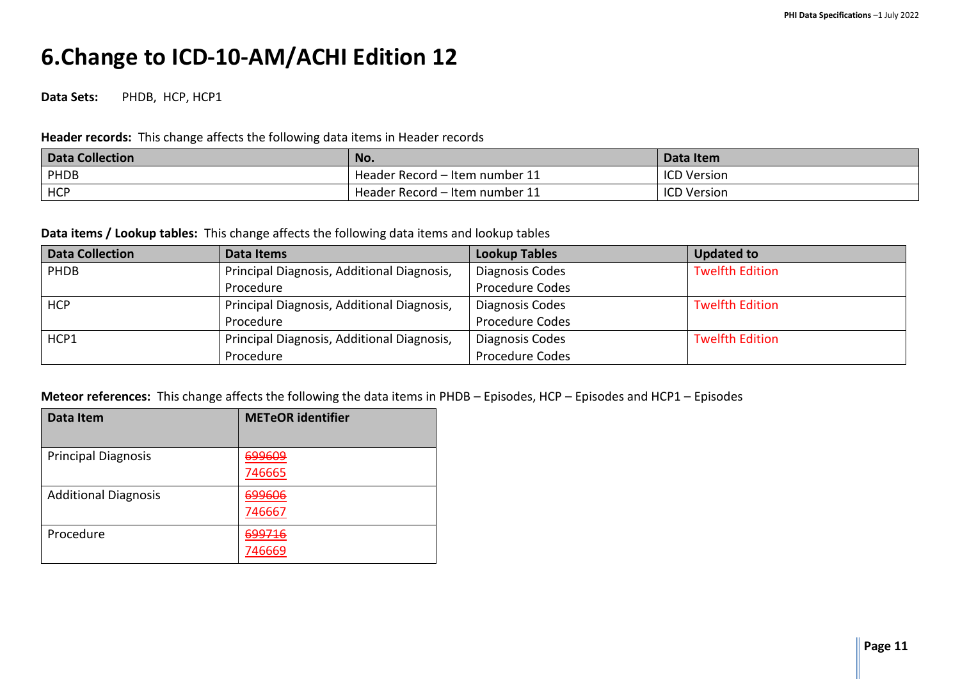## <span id="page-10-0"></span>**6.Change to ICD-10-AM/ACHI Edition 12**

**Data Sets:** PHDB, HCP, HCP1

**Header records:** This change affects the following data items in Header records

| Data Collection | No.                            | Data Item          |
|-----------------|--------------------------------|--------------------|
| PHDB            | Header Record - Item number 11 | <b>ICD Version</b> |
| <b>HCP</b>      | Header Record – Item number 11 | <b>ICD Version</b> |

**Data items / Lookup tables:** This change affects the following data items and lookup tables

| <b>Data Collection</b> | Data Items                                 | <b>Lookup Tables</b>   | <b>Updated to</b>      |
|------------------------|--------------------------------------------|------------------------|------------------------|
| <b>PHDB</b>            | Principal Diagnosis, Additional Diagnosis, | Diagnosis Codes        | <b>Twelfth Edition</b> |
|                        | Procedure                                  | <b>Procedure Codes</b> |                        |
| <b>HCP</b>             | Principal Diagnosis, Additional Diagnosis, | Diagnosis Codes        | <b>Twelfth Edition</b> |
|                        | Procedure                                  | <b>Procedure Codes</b> |                        |
| HCP1                   | Principal Diagnosis, Additional Diagnosis, | Diagnosis Codes        | <b>Twelfth Edition</b> |
|                        | Procedure                                  | <b>Procedure Codes</b> |                        |

**Meteor references:** This change affects the following the data items in PHDB – Episodes, HCP – Episodes and HCP1 – Episodes

| <b>Data Item</b>            | <b>METeOR</b> identifier                              |
|-----------------------------|-------------------------------------------------------|
| <b>Principal Diagnosis</b>  | <del>699609</del><br>746665                           |
| <b>Additional Diagnosis</b> | 600606<br><b><i><u>PAPARA PAPAR</u></i></b><br>746667 |
| Procedure                   | 600716<br>746669                                      |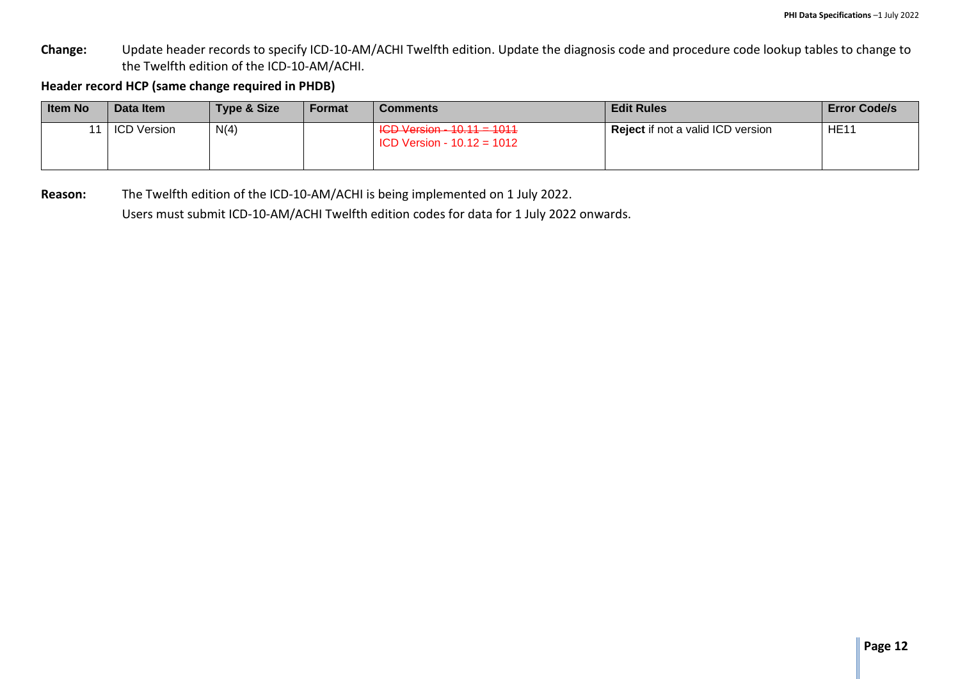**Change:** Update header records to specify ICD-10-AM/ACHI Twelfth edition. Update the diagnosis code and procedure code lookup tables to change to the Twelfth edition of the ICD-10-AM/ACHI.

**Header record HCP (same change required in PHDB)**

| <b>Item No</b> | Data Item   | <b>Type &amp; Size</b> | <b>Format</b> | <b>Comments</b>                                                                                             | <b>Edit Rules</b>                        | <b>Error Code/s</b> |
|----------------|-------------|------------------------|---------------|-------------------------------------------------------------------------------------------------------------|------------------------------------------|---------------------|
|                | ICD Version | N(4)                   |               | <u> ICD Varsion - 10 11 - 1011</u><br><del>100 voision van 270 m</del><br><b>ICD Version - 10.12 = 1012</b> | <b>Reject</b> if not a valid ICD version | <b>HE11</b>         |

**Reason:** The Twelfth edition of the ICD-10-AM/ACHI is being implemented on 1 July 2022.

Users must submit ICD-10-AM/ACHI Twelfth edition codes for data for 1 July 2022 onwards.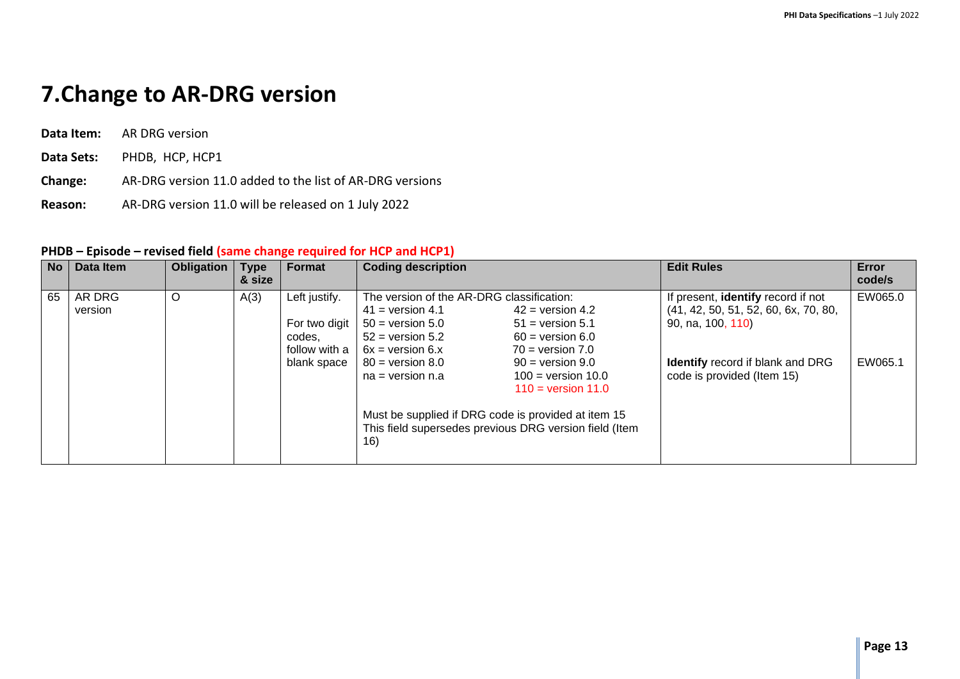### <span id="page-12-0"></span>**7.Change to AR-DRG version**

**Data Item:** AR DRG version

**Data Sets:** PHDB, HCP, HCP1

**Change:** AR-DRG version 11.0 added to the list of AR-DRG versions

**Reason:** AR-DRG version 11.0 will be released on 1 July 2022

| <b>No</b> | Data Item         | Obligation | <b>Type</b><br>& size | Format                                                                   | <b>Coding description</b>                                                                                                                                                                                                                                                                                     |                                                                                                                                                       | <b>Edit Rules</b>                                                                                                                                                        | Error<br>code/s    |
|-----------|-------------------|------------|-----------------------|--------------------------------------------------------------------------|---------------------------------------------------------------------------------------------------------------------------------------------------------------------------------------------------------------------------------------------------------------------------------------------------------------|-------------------------------------------------------------------------------------------------------------------------------------------------------|--------------------------------------------------------------------------------------------------------------------------------------------------------------------------|--------------------|
| 65        | AR DRG<br>version | O          | A(3)                  | Left justify.<br>For two digit<br>codes.<br>follow with a<br>blank space | The version of the AR-DRG classification:<br>$41 =$ version 4.1<br>$50 =$ version $5.0$<br>$52$ = version $5.2$<br>$6x =$ version $6.x$<br>$80 =$ version $8.0$<br>$na = version n.a$<br>Must be supplied if DRG code is provided at item 15<br>This field supersedes previous DRG version field (Item<br>16) | $42$ = version 4.2<br>$51 =$ version 5.1<br>$60 =$ version 6.0<br>$70 =$ version 7.0<br>$90 =$ version $9.0$<br>$100 =$ version $10.0$<br>$110 = 110$ | If present, identify record if not<br>(41, 42, 50, 51, 52, 60, 6x, 70, 80,<br>90, na, 100, 110)<br><b>Identify</b> record if blank and DRG<br>code is provided (Item 15) | EW065.0<br>EW065.1 |

#### **PHDB – Episode – revised field (same change required for HCP and HCP1)**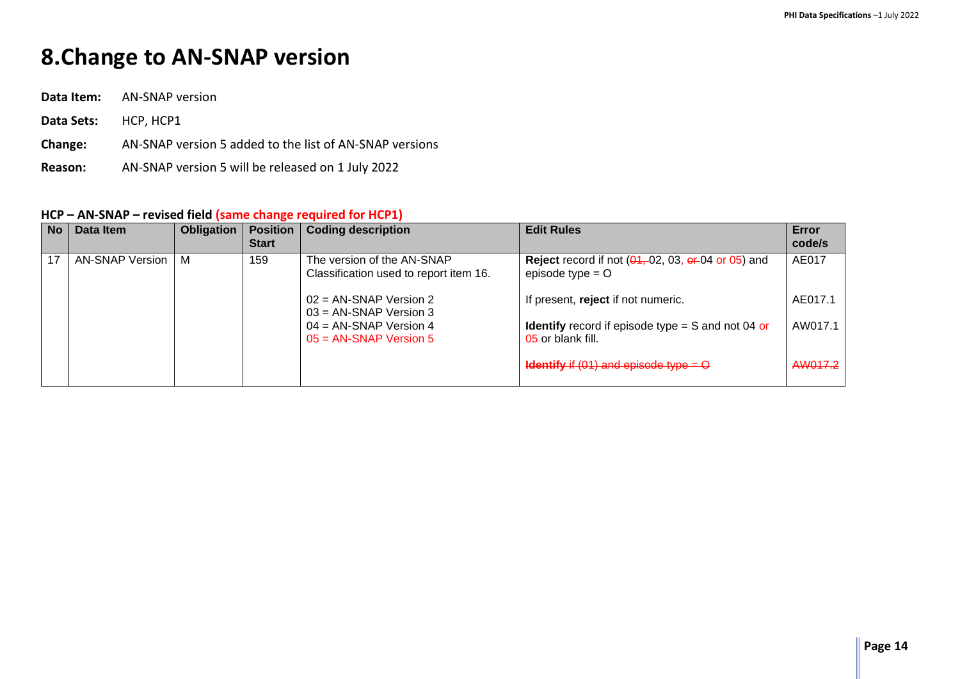### <span id="page-13-0"></span>**8.Change to AN-SNAP version**

**Data Item:** AN-SNAP version

**Data Sets:** HCP, HCP1

**Change:** AN-SNAP version 5 added to the list of AN-SNAP versions

**Reason:** AN-SNAP version 5 will be released on 1 July 2022

#### **HCP – AN-SNAP – revised field (same change required for HCP1)**

| <b>No</b> | Data Item              | <b>Obligation</b> | <b>Position</b><br><b>Start</b> | <b>Coding description</b>                                            | <b>Edit Rules</b>                                                                    | Error<br>code/s |
|-----------|------------------------|-------------------|---------------------------------|----------------------------------------------------------------------|--------------------------------------------------------------------------------------|-----------------|
| 17        | <b>AN-SNAP Version</b> | м                 | 159                             | The version of the AN-SNAP<br>Classification used to report item 16. | <b>Reject</b> record if not $(0.4, 0.02, 0.3, 0.04, 0.06)$ and<br>episode type $=$ O | AE017           |
|           |                        |                   |                                 | $02 = AN-SNAP$ Version 2<br>$03 = AN-SNAP$ Version 3                 | If present, reject if not numeric.                                                   | AE017.1         |
|           |                        |                   |                                 | $04 = AN-SNAP$ Version 4<br>$05 = AN-SNAP$ Version 5                 | <b>Identify</b> record if episode type $=$ S and not 04 or<br>05 or blank fill.      | AW017.1         |
|           |                        |                   |                                 |                                                                      | <b>Identify</b> if $(01)$ and episode type = $\Theta$                                | AW017.2         |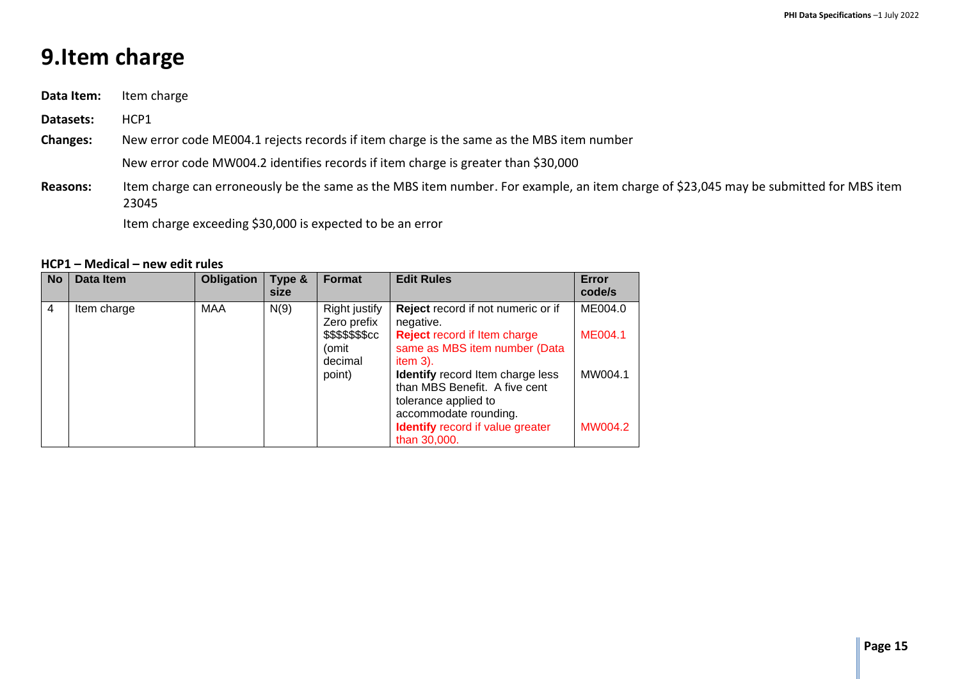### <span id="page-14-0"></span>**9.Item charge**

**Data Item:** Item charge

**Datasets:** HCP1

**Changes:** New error code ME004.1 rejects records if item charge is the same as the MBS item number

New error code MW004.2 identifies records if item charge is greater than \$30,000

Reasons: Item charge can erroneously be the same as the MBS item number. For example, an item charge of \$23,045 may be submitted for MBS item 23045

Item charge exceeding \$30,000 is expected to be an error

#### **HCP1 – Medical – new edit rules**

| <b>No</b>      | Data Item   | <b>Obligation</b> | Type &<br>size | <b>Format</b>                        | <b>Edit Rules</b>                                                                                                         | Error<br>code/s |
|----------------|-------------|-------------------|----------------|--------------------------------------|---------------------------------------------------------------------------------------------------------------------------|-----------------|
| $\overline{4}$ | Item charge | MAA               | N(9)           | Right justify<br>Zero prefix         | Reject record if not numeric or if<br>negative.                                                                           | ME004.0         |
|                |             |                   |                | \$\$\$\$\$\$\$cc<br>omit)<br>decimal | <b>Reject record if Item charge</b><br>same as MBS item number (Data<br>$item 3)$ .                                       | ME004.1         |
|                |             |                   |                | point)                               | <b>Identify</b> record Item charge less<br>than MBS Benefit. A five cent<br>tolerance applied to<br>accommodate rounding. | MW004.1         |
|                |             |                   |                |                                      | <b>Identify</b> record if value greater<br>than 30,000.                                                                   | MW004.2         |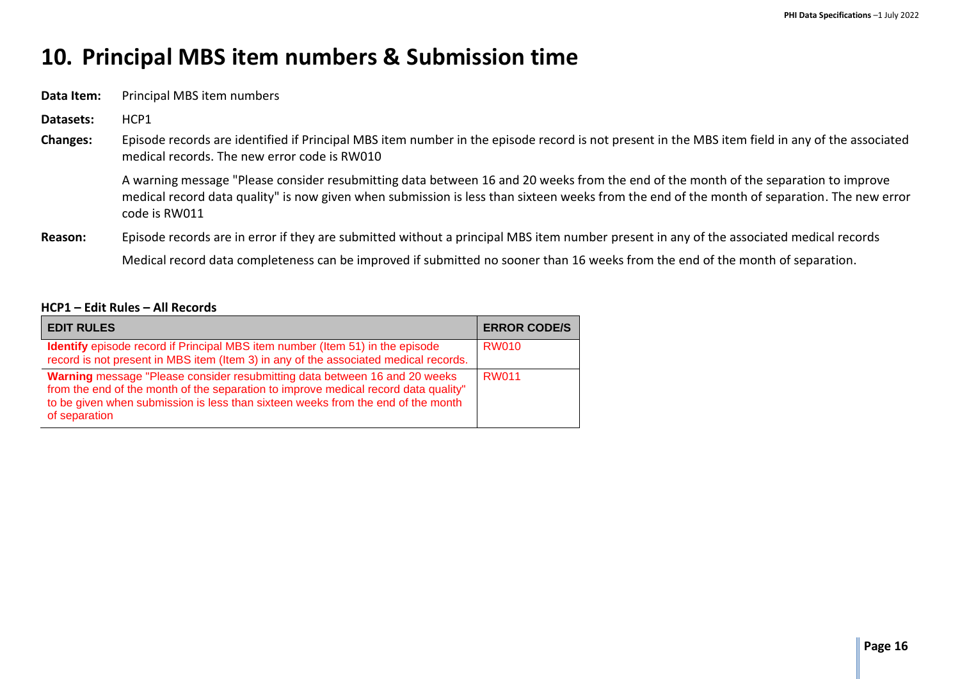### <span id="page-15-0"></span>**10. Principal MBS item numbers & Submission time**

**Data Item:** Principal MBS item numbers

**Datasets:** HCP1

**Changes:** Episode records are identified if Principal MBS item number in the episode record is not present in the MBS item field in any of the associated medical records. The new error code is RW010

A warning message "Please consider resubmitting data between 16 and 20 weeks from the end of the month of the separation to improve medical record data quality" is now given when submission is less than sixteen weeks from the end of the month of separation. The new error code is RW011

**Reason:** Episode records are in error if they are submitted without a principal MBS item number present in any of the associated medical records

Medical record data completeness can be improved if submitted no sooner than 16 weeks from the end of the month of separation.

#### **HCP1 – Edit Rules – All Records**

| <b>EDIT RULES</b>                                                                                                                                                                                                                                                      | <b>ERROR CODE/S</b> |
|------------------------------------------------------------------------------------------------------------------------------------------------------------------------------------------------------------------------------------------------------------------------|---------------------|
| <b>Identify</b> episode record if Principal MBS item number (Item 51) in the episode<br>record is not present in MBS item (Item 3) in any of the associated medical records.                                                                                           | <b>RW010</b>        |
| Warning message "Please consider resubmitting data between 16 and 20 weeks<br>from the end of the month of the separation to improve medical record data quality"<br>to be given when submission is less than sixteen weeks from the end of the month<br>of separation | <b>RW011</b>        |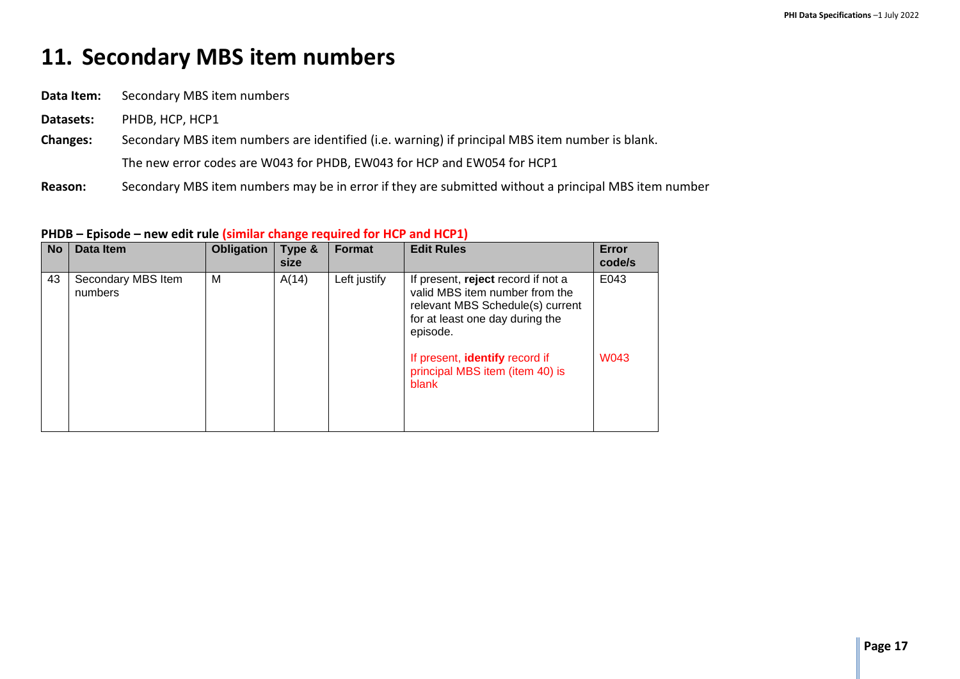### <span id="page-16-0"></span>**11. Secondary MBS item numbers**

**Data Item:** Secondary MBS item numbers

**Datasets:** PHDB, HCP, HCP1

**Changes:** Secondary MBS item numbers are identified (i.e. warning) if principal MBS item number is blank. The new error codes are W043 for PHDB, EW043 for HCP and EW054 for HCP1

**Reason:** Secondary MBS item numbers may be in error if they are submitted without a principal MBS item number

#### **PHDB – Episode – new edit rule (similar change required for HCP and HCP1)**<br> **No** | Data Item | Obligation | Type & | Format | Edit Rules **No Data Item Dividends Obligation size Formation Edit Rules Error code/s** 43 Secondary MBS Item numbers M A(14) Left justify If present, **reject** record if not a valid MBS item number from the relevant MBS Schedule(s) current for at least one day during the episode. If present, **identify** record if principal MBS item (item 40) is blank E043 W043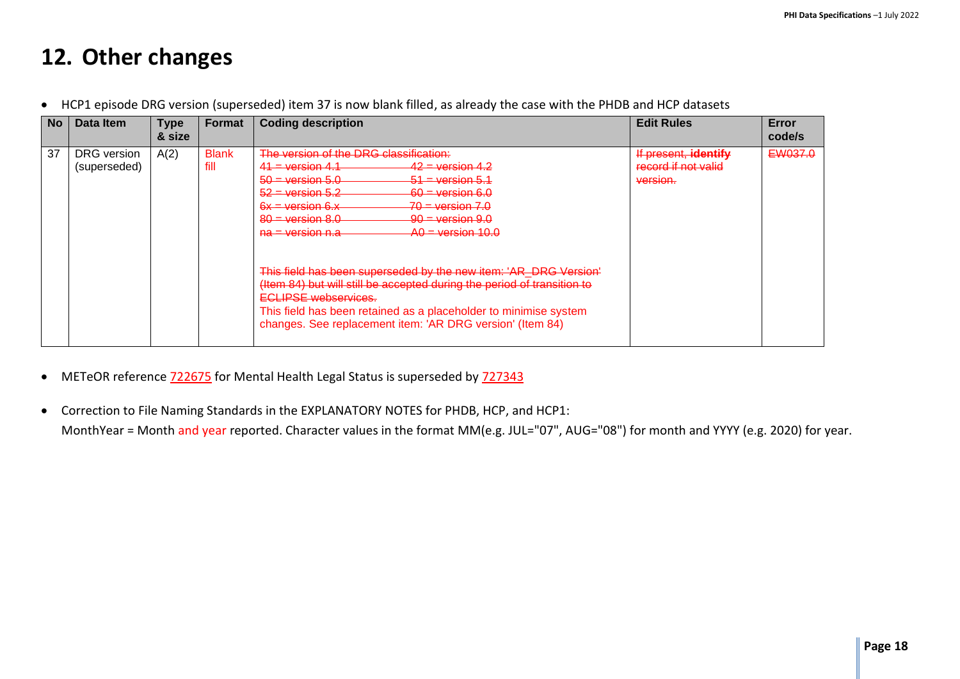### <span id="page-17-0"></span>**12. Other changes**

| <b>No</b> | Data Item                   | <b>Type</b><br>& size | Format               | <b>Coding description</b>                                                                                                                                                                                                                                                                                                                                                                                                                                                                                                                                                                                                                                                  | <b>Edit Rules</b>                                       | <b>Error</b><br>code/s |
|-----------|-----------------------------|-----------------------|----------------------|----------------------------------------------------------------------------------------------------------------------------------------------------------------------------------------------------------------------------------------------------------------------------------------------------------------------------------------------------------------------------------------------------------------------------------------------------------------------------------------------------------------------------------------------------------------------------------------------------------------------------------------------------------------------------|---------------------------------------------------------|------------------------|
| 37        | DRG version<br>(superseded) | A(2)                  | <b>Blank</b><br>fill | The version of the DRG classification:<br>$42$ = version 4.2<br>$41$ = version 4.1<br>$50 - \text{version } 5.0$<br>$51 - \nu$ ersion 5.1<br>$52$ = version $5.2$<br>$60 =$ version 6.0<br>$6x = \text{version } 6.x$<br><del>70 = version 7.0</del><br>$80 - \text{version } 8.0$<br>$90 = \text{version } 9.0$<br>$A0 = version 10.0$<br>na = version n.a<br>This field has been superseded by the new item: 'AR DRG Version'<br>(Item 84) but will still be accepted during the period of transition to<br><b>ECLIPSE webservices.</b><br>This field has been retained as a placeholder to minimise system<br>changes. See replacement item: 'AR DRG version' (Item 84) | If present, identify<br>record if not valid<br>version. | EW037.0                |

• HCP1 episode DRG version (superseded) item 37 is now blank filled, as already the case with the PHDB and HCP datasets

• METeOR reference [722675](https://meteor.aihw.gov.au/content/index.phtml/itemId/722675) for Mental Health Legal Status is superseded by [727343](https://meteor.aihw.gov.au/content/index.phtml/itemId/727343)

• Correction to File Naming Standards in the EXPLANATORY NOTES for PHDB, HCP, and HCP1:

MonthYear = Month and year reported. Character values in the format MM(e.g. JUL="07", AUG="08") for month and YYYY (e.g. 2020) for year.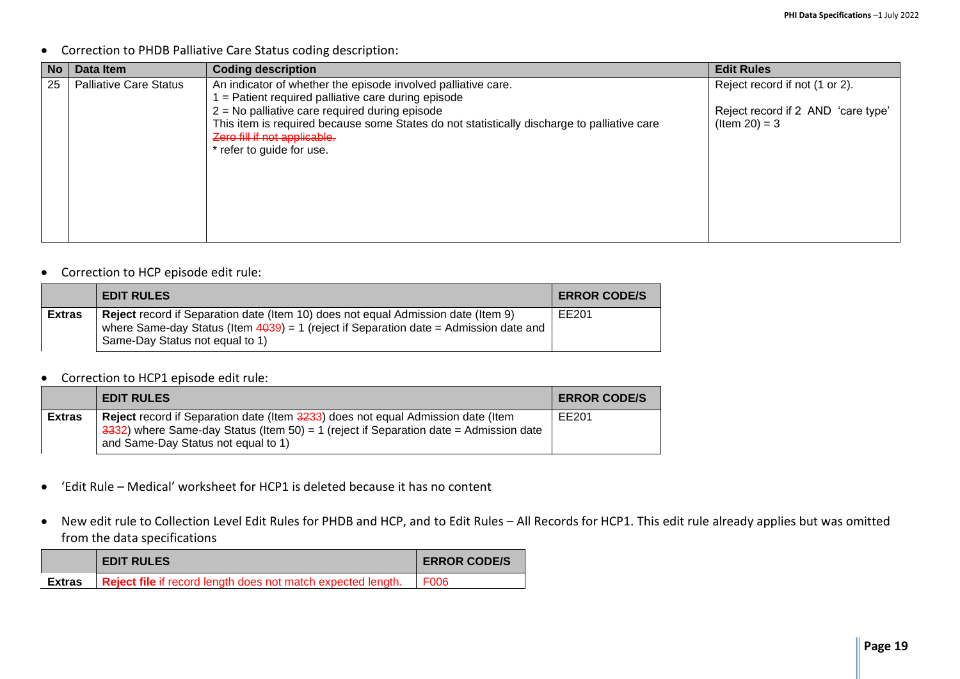• Correction to PHDB Palliative Care Status coding description:

| <b>No</b> | Data Item                     | <b>Coding description</b>                                                                   | <b>Edit Rules</b>                  |
|-----------|-------------------------------|---------------------------------------------------------------------------------------------|------------------------------------|
| 25        | <b>Palliative Care Status</b> | An indicator of whether the episode involved palliative care.                               | Reject record if not (1 or 2).     |
|           |                               | $\mathsf{I}$ = Patient required palliative care during episode                              |                                    |
|           |                               | $2$ = No palliative care required during episode                                            | Reject record if 2 AND 'care type' |
|           |                               | This item is required because some States do not statistically discharge to palliative care | $($ ltem 20 $) = 3$                |
|           |                               | Zero fill if not applicable.<br>refer to guide for use.                                     |                                    |
|           |                               |                                                                                             |                                    |
|           |                               |                                                                                             |                                    |
|           |                               |                                                                                             |                                    |
|           |                               |                                                                                             |                                    |
|           |                               |                                                                                             |                                    |
|           |                               |                                                                                             |                                    |
|           |                               |                                                                                             |                                    |

#### • Correction to HCP episode edit rule:

|               | <b>EDIT RULES</b>                                                                                                                                                                                                | <b>ERROR CODE/S</b> |
|---------------|------------------------------------------------------------------------------------------------------------------------------------------------------------------------------------------------------------------|---------------------|
| <b>Extras</b> | Reject record if Separation date (Item 10) does not equal Admission date (Item 9)<br>where Same-day Status (Item $4039$ ) = 1 (reject if Separation date = Admission date and<br>Same-Day Status not equal to 1) | EE201               |

#### • Correction to HCP1 episode edit rule:

|               | <b>EDIT RULES</b>                                                                                                                                                                                                          | <b>ERROR CODE/S</b> |
|---------------|----------------------------------------------------------------------------------------------------------------------------------------------------------------------------------------------------------------------------|---------------------|
| <b>Extras</b> | <b>Reject record if Separation date (Item 3233) does not equal Admission date (Item</b><br>$3332$ ) where Same-day Status (Item 50) = 1 (reject if Separation date = Admission date<br>and Same-Day Status not equal to 1) | EE201               |

- 'Edit Rule Medical' worksheet for HCP1 is deleted because it has no content
- New edit rule to Collection Level Edit Rules for PHDB and HCP, and to Edit Rules All Records for HCP1. This edit rule already applies but was omitted from the data specifications

|               | <b>EDIT RULES</b>                                                   | <b>ERROR CODE/S</b> |
|---------------|---------------------------------------------------------------------|---------------------|
| <b>Extras</b> | <b>Reject file</b> if record length does not match expected length. | I FOO6              |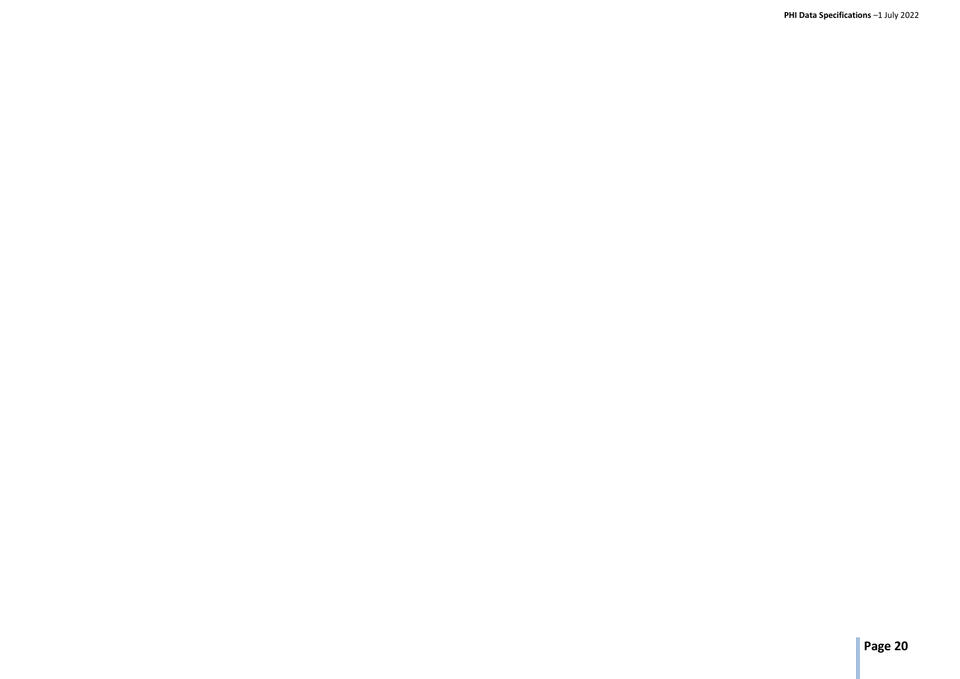**PHI Data Specifications** –1 July 2022